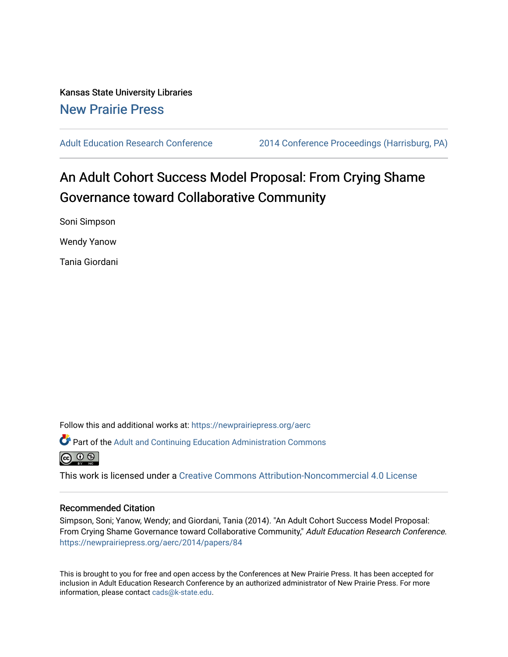Kansas State University Libraries [New Prairie Press](https://newprairiepress.org/) 

[Adult Education Research Conference](https://newprairiepress.org/aerc) [2014 Conference Proceedings \(Harrisburg, PA\)](https://newprairiepress.org/aerc/2014) 

# An Adult Cohort Success Model Proposal: From Crying Shame Governance toward Collaborative Community

Soni Simpson

Wendy Yanow

Tania Giordani

Follow this and additional works at: [https://newprairiepress.org/aerc](https://newprairiepress.org/aerc?utm_source=newprairiepress.org%2Faerc%2F2014%2Fpapers%2F84&utm_medium=PDF&utm_campaign=PDFCoverPages)

Part of the [Adult and Continuing Education Administration Commons](http://network.bepress.com/hgg/discipline/789?utm_source=newprairiepress.org%2Faerc%2F2014%2Fpapers%2F84&utm_medium=PDF&utm_campaign=PDFCoverPages)



This work is licensed under a [Creative Commons Attribution-Noncommercial 4.0 License](https://creativecommons.org/licenses/by-nc/4.0/)

#### Recommended Citation

Simpson, Soni; Yanow, Wendy; and Giordani, Tania (2014). "An Adult Cohort Success Model Proposal: From Crying Shame Governance toward Collaborative Community," Adult Education Research Conference. <https://newprairiepress.org/aerc/2014/papers/84>

This is brought to you for free and open access by the Conferences at New Prairie Press. It has been accepted for inclusion in Adult Education Research Conference by an authorized administrator of New Prairie Press. For more information, please contact [cads@k-state.edu](mailto:cads@k-state.edu).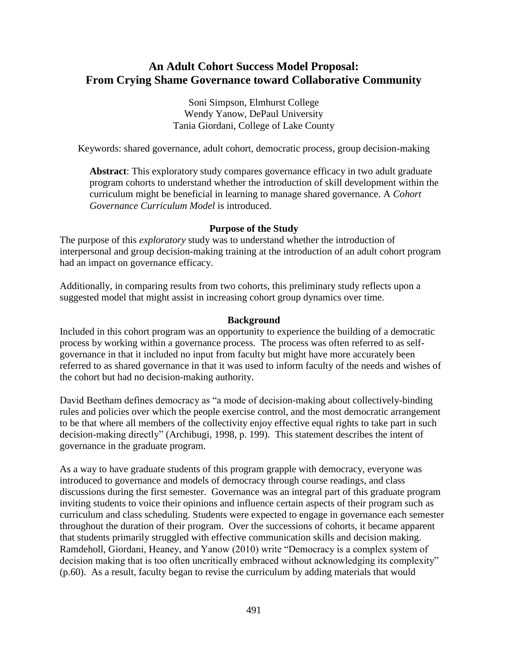# **An Adult Cohort Success Model Proposal: From Crying Shame Governance toward Collaborative Community**

Soni Simpson, Elmhurst College Wendy Yanow, DePaul University Tania Giordani, College of Lake County

Keywords: shared governance, adult cohort, democratic process, group decision-making

**Abstract**: This exploratory study compares governance efficacy in two adult graduate program cohorts to understand whether the introduction of skill development within the curriculum might be beneficial in learning to manage shared governance. A *Cohort Governance Curriculum Model* is introduced.

#### **Purpose of the Study**

The purpose of this *exploratory* study was to understand whether the introduction of interpersonal and group decision-making training at the introduction of an adult cohort program had an impact on governance efficacy.

Additionally, in comparing results from two cohorts, this preliminary study reflects upon a suggested model that might assist in increasing cohort group dynamics over time.

#### **Background**

Included in this cohort program was an opportunity to experience the building of a democratic process by working within a governance process. The process was often referred to as selfgovernance in that it included no input from faculty but might have more accurately been referred to as shared governance in that it was used to inform faculty of the needs and wishes of the cohort but had no decision-making authority.

David Beetham defines democracy as "a mode of decision-making about collectively-binding rules and policies over which the people exercise control, and the most democratic arrangement to be that where all members of the collectivity enjoy effective equal rights to take part in such decision-making directly" (Archibugi, 1998, p. 199). This statement describes the intent of governance in the graduate program.

As a way to have graduate students of this program grapple with democracy, everyone was introduced to governance and models of democracy through course readings, and class discussions during the first semester. Governance was an integral part of this graduate program inviting students to voice their opinions and influence certain aspects of their program such as curriculum and class scheduling. Students were expected to engage in governance each semester throughout the duration of their program. Over the successions of cohorts, it became apparent that students primarily struggled with effective communication skills and decision making. Ramdeholl, Giordani, Heaney, and Yanow (2010) write "Democracy is a complex system of decision making that is too often uncritically embraced without acknowledging its complexity" (p.60). As a result, faculty began to revise the curriculum by adding materials that would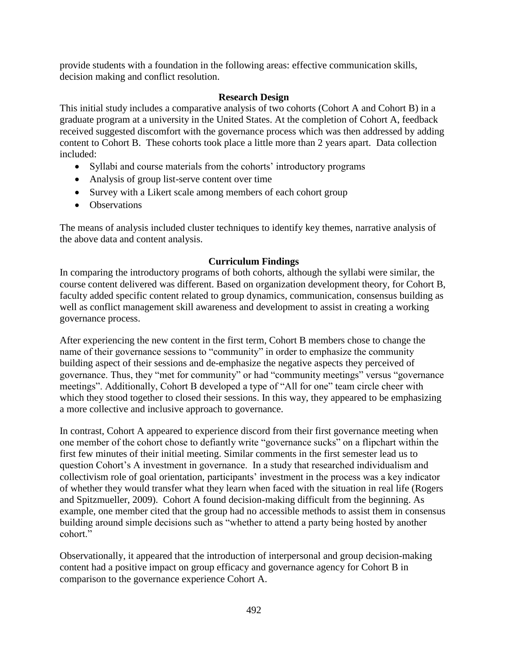provide students with a foundation in the following areas: effective communication skills, decision making and conflict resolution.

#### **Research Design**

This initial study includes a comparative analysis of two cohorts (Cohort A and Cohort B) in a graduate program at a university in the United States. At the completion of Cohort A, feedback received suggested discomfort with the governance process which was then addressed by adding content to Cohort B. These cohorts took place a little more than 2 years apart. Data collection included:

- Syllabi and course materials from the cohorts' introductory programs
- Analysis of group list-serve content over time
- Survey with a Likert scale among members of each cohort group
- Observations

The means of analysis included cluster techniques to identify key themes, narrative analysis of the above data and content analysis.

## **Curriculum Findings**

In comparing the introductory programs of both cohorts, although the syllabi were similar, the course content delivered was different. Based on organization development theory, for Cohort B, faculty added specific content related to group dynamics, communication, consensus building as well as conflict management skill awareness and development to assist in creating a working governance process.

After experiencing the new content in the first term, Cohort B members chose to change the name of their governance sessions to "community" in order to emphasize the community building aspect of their sessions and de-emphasize the negative aspects they perceived of governance. Thus, they "met for community" or had "community meetings" versus "governance meetings". Additionally, Cohort B developed a type of "All for one" team circle cheer with which they stood together to closed their sessions. In this way, they appeared to be emphasizing a more collective and inclusive approach to governance.

In contrast, Cohort A appeared to experience discord from their first governance meeting when one member of the cohort chose to defiantly write "governance sucks" on a flipchart within the first few minutes of their initial meeting. Similar comments in the first semester lead us to question Cohort's A investment in governance. In a study that researched individualism and collectivism role of goal orientation, participants' investment in the process was a key indicator of whether they would transfer what they learn when faced with the situation in real life (Rogers and Spitzmueller, 2009). Cohort A found decision-making difficult from the beginning. As example, one member cited that the group had no accessible methods to assist them in consensus building around simple decisions such as "whether to attend a party being hosted by another cohort."

Observationally, it appeared that the introduction of interpersonal and group decision-making content had a positive impact on group efficacy and governance agency for Cohort B in comparison to the governance experience Cohort A.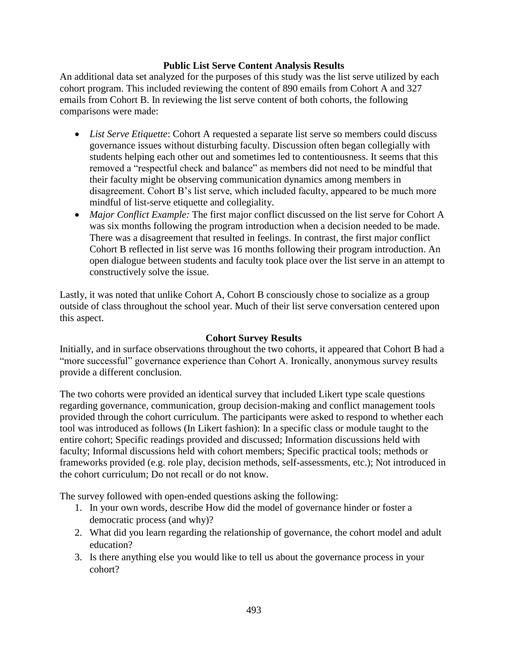#### **Public List Serve Content Analysis Results**

An additional data set analyzed for the purposes of this study was the list serve utilized by each cohort program. This included reviewing the content of 890 emails from Cohort A and 327 emails from Cohort B. In reviewing the list serve content of both cohorts, the following comparisons were made:

- *List Serve Etiquette*: Cohort A requested a separate list serve so members could discuss governance issues without disturbing faculty. Discussion often began collegially with students helping each other out and sometimes led to contentiousness. It seems that this removed a "respectful check and balance" as members did not need to be mindful that their faculty might be observing communication dynamics among members in disagreement. Cohort B's list serve, which included faculty, appeared to be much more mindful of list-serve etiquette and collegiality.
- *Major Conflict Example:* The first major conflict discussed on the list serve for Cohort A was six months following the program introduction when a decision needed to be made. There was a disagreement that resulted in feelings. In contrast, the first major conflict Cohort B reflected in list serve was 16 months following their program introduction. An open dialogue between students and faculty took place over the list serve in an attempt to constructively solve the issue.

Lastly, it was noted that unlike Cohort A, Cohort B consciously chose to socialize as a group outside of class throughout the school year. Much of their list serve conversation centered upon this aspect.

#### **Cohort Survey Results**

Initially, and in surface observations throughout the two cohorts, it appeared that Cohort B had a "more successful" governance experience than Cohort A. Ironically, anonymous survey results provide a different conclusion.

The two cohorts were provided an identical survey that included Likert type scale questions regarding governance, communication, group decision-making and conflict management tools provided through the cohort curriculum. The participants were asked to respond to whether each tool was introduced as follows (In Likert fashion): In a specific class or module taught to the entire cohort; Specific readings provided and discussed; Information discussions held with faculty; Informal discussions held with cohort members; Specific practical tools; methods or frameworks provided (e.g. role play, decision methods, self-assessments, etc.); Not introduced in the cohort curriculum; Do not recall or do not know.

The survey followed with open-ended questions asking the following:

- 1. In your own words, describe How did the model of governance hinder or foster a democratic process (and why)?
- 2. What did you learn regarding the relationship of governance, the cohort model and adult education?
- 3. Is there anything else you would like to tell us about the governance process in your cohort?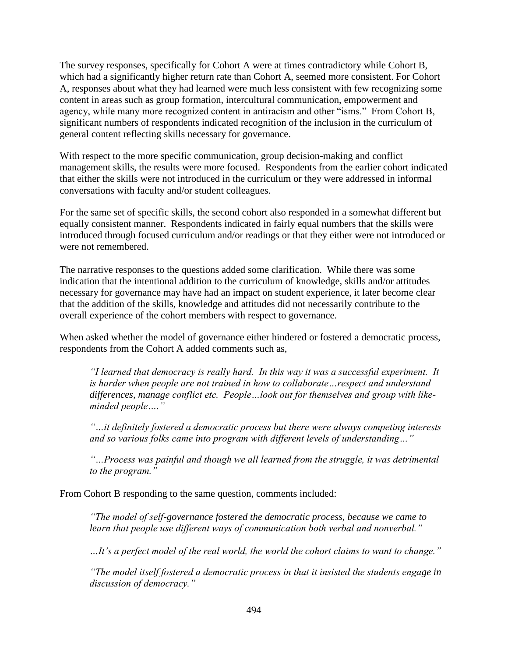The survey responses, specifically for Cohort A were at times contradictory while Cohort B, which had a significantly higher return rate than Cohort A, seemed more consistent. For Cohort A, responses about what they had learned were much less consistent with few recognizing some content in areas such as group formation, intercultural communication, empowerment and agency, while many more recognized content in antiracism and other "isms." From Cohort B, significant numbers of respondents indicated recognition of the inclusion in the curriculum of general content reflecting skills necessary for governance.

With respect to the more specific communication, group decision-making and conflict management skills, the results were more focused. Respondents from the earlier cohort indicated that either the skills were not introduced in the curriculum or they were addressed in informal conversations with faculty and/or student colleagues.

For the same set of specific skills, the second cohort also responded in a somewhat different but equally consistent manner. Respondents indicated in fairly equal numbers that the skills were introduced through focused curriculum and/or readings or that they either were not introduced or were not remembered.

The narrative responses to the questions added some clarification. While there was some indication that the intentional addition to the curriculum of knowledge, skills and/or attitudes necessary for governance may have had an impact on student experience, it later become clear that the addition of the skills, knowledge and attitudes did not necessarily contribute to the overall experience of the cohort members with respect to governance.

When asked whether the model of governance either hindered or fostered a democratic process, respondents from the Cohort A added comments such as,

*"I learned that democracy is really hard. In this way it was a successful experiment. It is harder when people are not trained in how to collaborate…respect and understand differences, manage conflict etc. People…look out for themselves and group with likeminded people…."* 

*"…it definitely fostered a democratic process but there were always competing interests and so various folks came into program with different levels of understanding…"*

*"…Process was painful and though we all learned from the struggle, it was detrimental to the program."*

From Cohort B responding to the same question, comments included:

*"The model of self-governance fostered the democratic process, because we came to learn that people use different ways of communication both verbal and nonverbal."*

*…It's a perfect model of the real world, the world the cohort claims to want to change."*

*"The model itself fostered a democratic process in that it insisted the students engage in discussion of democracy."*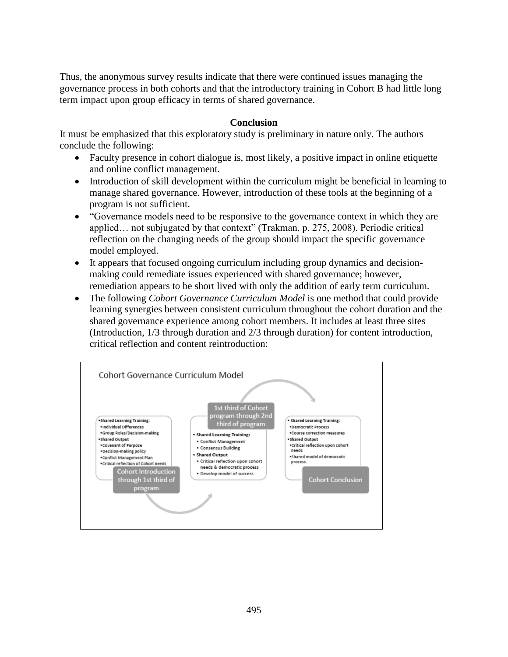Thus, the anonymous survey results indicate that there were continued issues managing the governance process in both cohorts and that the introductory training in Cohort B had little long term impact upon group efficacy in terms of shared governance.

#### **Conclusion**

It must be emphasized that this exploratory study is preliminary in nature only. The authors conclude the following:

- Faculty presence in cohort dialogue is, most likely, a positive impact in online etiquette and online conflict management.
- Introduction of skill development within the curriculum might be beneficial in learning to manage shared governance. However, introduction of these tools at the beginning of a program is not sufficient.
- "Governance models need to be responsive to the governance context in which they are applied… not subjugated by that context" (Trakman, p. 275, 2008). Periodic critical reflection on the changing needs of the group should impact the specific governance model employed.
- It appears that focused ongoing curriculum including group dynamics and decisionmaking could remediate issues experienced with shared governance; however, remediation appears to be short lived with only the addition of early term curriculum.
- The following *Cohort Governance Curriculum Model* is one method that could provide learning synergies between consistent curriculum throughout the cohort duration and the shared governance experience among cohort members. It includes at least three sites (Introduction, 1/3 through duration and 2/3 through duration) for content introduction, critical reflection and content reintroduction: